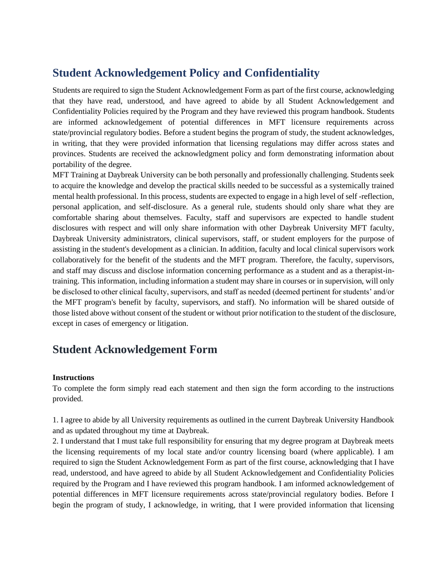## **Student Acknowledgement Policy and Confidentiality**

Students are required to sign the Student Acknowledgement Form as part of the first course, acknowledging that they have read, understood, and have agreed to abide by all Student Acknowledgement and Confidentiality Policies required by the Program and they have reviewed this program handbook. Students are informed acknowledgement of potential differences in MFT licensure requirements across state/provincial regulatory bodies. Before a student begins the program of study, the student acknowledges, in writing, that they were provided information that licensing regulations may differ across states and provinces. Students are received the acknowledgment policy and form demonstrating information about portability of the degree.

MFT Training at Daybreak University can be both personally and professionally challenging. Students seek to acquire the knowledge and develop the practical skills needed to be successful as a systemically trained mental health professional. In this process, students are expected to engage in a high level of self -reflection, personal application, and self-disclosure. As a general rule, students should only share what they are comfortable sharing about themselves. Faculty, staff and supervisors are expected to handle student disclosures with respect and will only share information with other Daybreak University MFT faculty, Daybreak University administrators, clinical supervisors, staff, or student employers for the purpose of assisting in the student's development as a clinician. In addition, faculty and local clinical supervisors work collaboratively for the benefit of the students and the MFT program. Therefore, the faculty, supervisors, and staff may discuss and disclose information concerning performance as a student and as a therapist-intraining. This information, including information a student may share in courses or in supervision, will only be disclosed to other clinical faculty, supervisors, and staff as needed (deemed pertinent for students' and/or the MFT program's benefit by faculty, supervisors, and staff). No information will be shared outside of those listed above without consent of the student or without prior notification to the student of the disclosure, except in cases of emergency or litigation.

## **Student Acknowledgement Form**

## **Instructions**

To complete the form simply read each statement and then sign the form according to the instructions provided.

1. I agree to abide by all University requirements as outlined in the current Daybreak University Handbook and as updated throughout my time at Daybreak.

2. I understand that I must take full responsibility for ensuring that my degree program at Daybreak meets the licensing requirements of my local state and/or country licensing board (where applicable). I am required to sign the Student Acknowledgement Form as part of the first course, acknowledging that I have read, understood, and have agreed to abide by all Student Acknowledgement and Confidentiality Policies required by the Program and I have reviewed this program handbook. I am informed acknowledgement of potential differences in MFT licensure requirements across state/provincial regulatory bodies. Before I begin the program of study, I acknowledge, in writing, that I were provided information that licensing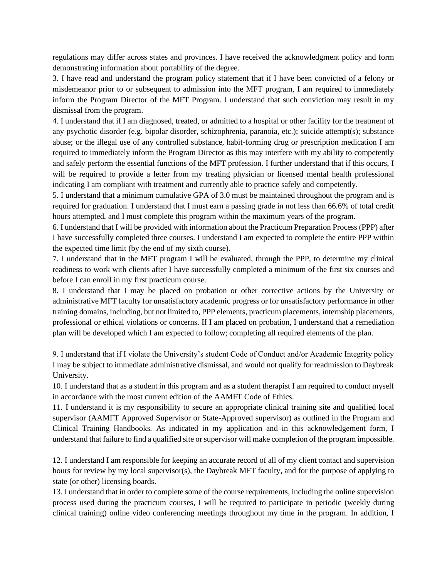regulations may differ across states and provinces. I have received the acknowledgment policy and form demonstrating information about portability of the degree.

3. I have read and understand the program policy statement that if I have been convicted of a felony or misdemeanor prior to or subsequent to admission into the MFT program, I am required to immediately inform the Program Director of the MFT Program. I understand that such conviction may result in my dismissal from the program.

4. I understand that if I am diagnosed, treated, or admitted to a hospital or other facility for the treatment of any psychotic disorder (e.g. bipolar disorder, schizophrenia, paranoia, etc.); suicide attempt(s); substance abuse; or the illegal use of any controlled substance, habit-forming drug or prescription medication I am required to immediately inform the Program Director as this may interfere with my ability to competently and safely perform the essential functions of the MFT profession. I further understand that if this occurs, I will be required to provide a letter from my treating physician or licensed mental health professional indicating I am compliant with treatment and currently able to practice safely and competently.

5. I understand that a minimum cumulative GPA of 3.0 must be maintained throughout the program and is required for graduation. I understand that I must earn a passing grade in not less than 66.6% of total credit hours attempted, and I must complete this program within the maximum years of the program.

6. I understand that I will be provided with information about the Practicum Preparation Process (PPP) after I have successfully completed three courses. I understand I am expected to complete the entire PPP within the expected time limit (by the end of my sixth course).

7. I understand that in the MFT program I will be evaluated, through the PPP, to determine my clinical readiness to work with clients after I have successfully completed a minimum of the first six courses and before I can enroll in my first practicum course.

8. I understand that I may be placed on probation or other corrective actions by the University or administrative MFT faculty for unsatisfactory academic progress or for unsatisfactory performance in other training domains, including, but not limited to, PPP elements, practicum placements, internship placements, professional or ethical violations or concerns. If I am placed on probation, I understand that a remediation plan will be developed which I am expected to follow; completing all required elements of the plan.

9. I understand that if I violate the University's student Code of Conduct and/or Academic Integrity policy I may be subject to immediate administrative dismissal, and would not qualify for readmission to Daybreak University.

10. I understand that as a student in this program and as a student therapist I am required to conduct myself in accordance with the most current edition of the AAMFT Code of Ethics.

11. I understand it is my responsibility to secure an appropriate clinical training site and qualified local supervisor (AAMFT Approved Supervisor or State-Approved supervisor) as outlined in the Program and Clinical Training Handbooks. As indicated in my application and in this acknowledgement form, I understand that failure to find a qualified site or supervisor will make completion of the program impossible.

12. I understand I am responsible for keeping an accurate record of all of my client contact and supervision hours for review by my local supervisor(s), the Daybreak MFT faculty, and for the purpose of applying to state (or other) licensing boards.

13. I understand that in order to complete some of the course requirements, including the online supervision process used during the practicum courses, I will be required to participate in periodic (weekly during clinical training) online video conferencing meetings throughout my time in the program. In addition, I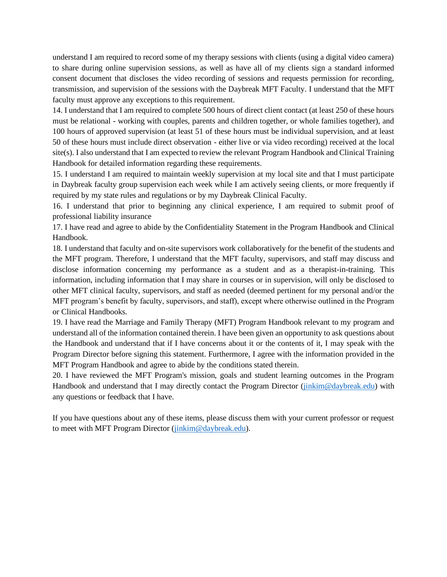understand I am required to record some of my therapy sessions with clients (using a digital video camera) to share during online supervision sessions, as well as have all of my clients sign a standard informed consent document that discloses the video recording of sessions and requests permission for recording, transmission, and supervision of the sessions with the Daybreak MFT Faculty. I understand that the MFT faculty must approve any exceptions to this requirement.

14. I understand that I am required to complete 500 hours of direct client contact (at least 250 of these hours must be relational - working with couples, parents and children together, or whole families together), and 100 hours of approved supervision (at least 51 of these hours must be individual supervision, and at least 50 of these hours must include direct observation - either live or via video recording) received at the local site(s). I also understand that I am expected to review the relevant Program Handbook and Clinical Training Handbook for detailed information regarding these requirements.

15. I understand I am required to maintain weekly supervision at my local site and that I must participate in Daybreak faculty group supervision each week while I am actively seeing clients, or more frequently if required by my state rules and regulations or by my Daybreak Clinical Faculty.

16. I understand that prior to beginning any clinical experience, I am required to submit proof of professional liability insurance

17. I have read and agree to abide by the Confidentiality Statement in the Program Handbook and Clinical Handbook.

18. I understand that faculty and on-site supervisors work collaboratively for the benefit of the students and the MFT program. Therefore, I understand that the MFT faculty, supervisors, and staff may discuss and disclose information concerning my performance as a student and as a therapist-in-training. This information, including information that I may share in courses or in supervision, will only be disclosed to other MFT clinical faculty, supervisors, and staff as needed (deemed pertinent for my personal and/or the MFT program's benefit by faculty, supervisors, and staff), except where otherwise outlined in the Program or Clinical Handbooks.

19. I have read the Marriage and Family Therapy (MFT) Program Handbook relevant to my program and understand all of the information contained therein. I have been given an opportunity to ask questions about the Handbook and understand that if I have concerns about it or the contents of it, I may speak with the Program Director before signing this statement. Furthermore, I agree with the information provided in the MFT Program Handbook and agree to abide by the conditions stated therein.

20. I have reviewed the MFT Program's mission, goals and student learning outcomes in the Program Handbook and understand that I may directly contact the Program Director [\(jinkim@daybreak.edu\)](mailto:jinkim@daybreak.edu) with any questions or feedback that I have.

If you have questions about any of these items, please discuss them with your current professor or request to meet with MFT Program Director [\(jinkim@daybreak.edu\)](mailto:jinkim@daybreak.edu).